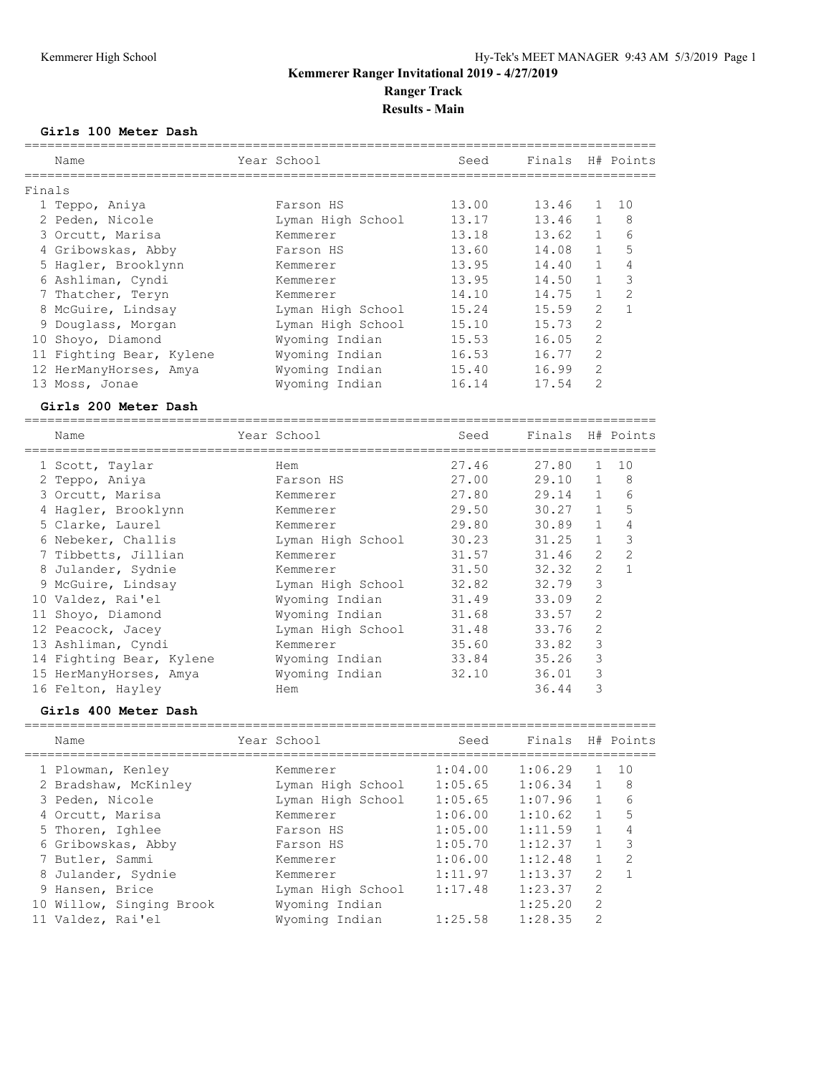#### **Girls 100 Meter Dash**

|        | Name                                                  | Year School       | Seed                  | Finals H# Points |                |                |
|--------|-------------------------------------------------------|-------------------|-----------------------|------------------|----------------|----------------|
| Finals |                                                       |                   |                       |                  |                |                |
|        | 1 Teppo, Aniya                                        | Farson HS         | 13.00                 | 13.46            | $\mathbf{1}$   | 10             |
|        | 2 Peden, Nicole                                       | Lyman High School | 13.17                 | 13.46            | $\mathbf{1}$   | $_{\rm 8}$     |
|        | 3 Orcutt, Marisa                                      | Kemmerer          | 13.18                 | 13.62            | $\mathbf{1}$   | 6              |
|        | 4 Gribowskas, Abby                                    | Farson HS         | 13.60                 | 14.08            | $\mathbf{1}$   | 5              |
|        | 5 Hagler, Brooklynn                                   | Kemmerer          | 13.95                 | 14.40            | $\mathbf{1}$   | 4              |
|        | 6 Ashliman, Cyndi                                     | Kemmerer          | 13.95                 | 14.50            | $\mathbf{1}$   | $\mathcal{S}$  |
|        | 7 Thatcher, Teryn                                     | Kemmerer          | 14.10                 | 14.75            | $\mathbf{1}$   | $\mathbf{2}$   |
|        | 8 McGuire, Lindsay                                    | Lyman High School | 15.24                 | 15.59            | $\overline{2}$ | $\mathbf{1}$   |
|        | 9 Douglass, Morgan                                    | Lyman High School | 15.10                 | 15.73            | $\overline{c}$ |                |
|        | 10 Shoyo, Diamond                                     | Wyoming Indian    | 15.53                 | 16.05            | $\overline{c}$ |                |
|        | 11 Fighting Bear, Kylene                              | Wyoming Indian    | 16.53                 | 16.77            | $\mathbf{2}$   |                |
|        | 12 HerManyHorses, Amya                                | Wyoming Indian    | 15.40                 | 16.99            | $\mathbf{2}$   |                |
|        | 13 Moss, Jonae                                        | Wyoming Indian    | 16.14                 | 17.54            | $\overline{2}$ |                |
|        | Girls 200 Meter Dash                                  |                   |                       |                  |                |                |
|        | -------------<br>Name                                 | Year School       | -------------<br>Seed | Finals           |                | H# Points      |
|        | ==================================<br>1 Scott, Taylar | Hem               | 27.46                 | 27.80            | $\mathbf{1}$   | 10             |
|        | 2 Teppo, Aniya                                        | Farson HS         | 27.00                 | 29.10            | $\mathbf{1}$   | $_{\rm 8}$     |
|        | 3 Orcutt, Marisa                                      | Kemmerer          | 27.80                 | 29.14            | $\mathbf{1}$   | 6              |
|        | 4 Hagler, Brooklynn                                   | Kemmerer          | 29.50                 | 30.27            | $\mathbf{1}$   | 5              |
|        | 5 Clarke, Laurel                                      | Kemmerer          | 29.80                 | 30.89            | $\mathbf{1}$   | 4              |
|        | 6 Nebeker, Challis                                    | Lyman High School | 30.23                 | 31.25            | $\mathbf{1}$   | 3              |
|        | 7 Tibbetts, Jillian                                   | Kemmerer          | 31.57                 | 31.46            | $\overline{2}$ | $\overline{c}$ |
|        | 8 Julander, Sydnie                                    | Kemmerer          | 31,50                 | 32, 32           | $\mathcal{P}$  |                |

| <u>ivanc</u>             | TAMI AANAT        | しししひ  |       |                | $11$ $\pi$ $1 \cup 11$ |
|--------------------------|-------------------|-------|-------|----------------|------------------------|
| 1 Scott, Taylar          | Hem               | 27.46 | 27.80 | 1              | 10                     |
| 2 Teppo, Aniya           | Farson HS         | 27.00 | 29.10 |                | 8                      |
| 3 Orcutt, Marisa         | Kemmerer          | 27.80 | 29.14 | $\mathbf{1}$   | 6                      |
| 4 Hagler, Brooklynn      | Kemmerer          | 29.50 | 30.27 | $\mathbf{1}$   | 5                      |
| 5 Clarke, Laurel         | Kemmerer          | 29.80 | 30.89 | $\mathbf{1}$   | $\overline{4}$         |
| 6 Nebeker, Challis       | Lyman High School | 30.23 | 31.25 | $\mathbf{1}$   | 3                      |
| 7 Tibbetts, Jillian      | Kemmerer          | 31.57 | 31.46 | $\overline{2}$ | 2                      |
| 8 Julander, Sydnie       | Kemmerer          | 31.50 | 32.32 | $\overline{2}$ | $\mathbf{1}$           |
| 9 McGuire, Lindsay       | Lyman High School | 32.82 | 32.79 | 3              |                        |
| 10 Valdez, Rai'el        | Wyoming Indian    | 31.49 | 33.09 | $\overline{2}$ |                        |
| 11 Shoyo, Diamond        | Wyoming Indian    | 31.68 | 33.57 | $\overline{2}$ |                        |
| 12 Peacock, Jacey        | Lyman High School | 31.48 | 33.76 | $\overline{2}$ |                        |
| 13 Ashliman, Cyndi       | Kemmerer          | 35.60 | 33.82 | 3              |                        |
| 14 Fighting Bear, Kylene | Wyoming Indian    | 33.84 | 35.26 | 3              |                        |
| 15 HerManyHorses, Amya   | Wyoming Indian    | 32.10 | 36.01 | 3              |                        |
| 16 Felton, Hayley        | Hem               |       | 36.44 | 3              |                        |
|                          |                   |       |       |                |                        |

#### **Girls 400 Meter Dash**

| Year School       | Seed    | Finals  |                | H# Points      |
|-------------------|---------|---------|----------------|----------------|
| Kemmerer          | 1:04.00 | 1:06.29 |                | 10             |
| Lyman High School | 1:05.65 | 1:06.34 | $\mathbf{1}$   | 8              |
| Lyman High School | 1:05.65 | 1:07.96 | $\mathbf{1}$   | 6              |
| Kemmerer          | 1:06.00 | 1:10.62 |                | 5              |
| Farson HS         | 1:05.00 | 1:11.59 |                | 4              |
| Farson HS         | 1:05.70 | 1:12.37 |                |                |
| Kemmerer          | 1:06.00 | 1:12.48 |                | $\mathfrak{D}$ |
| Kemmerer          | 1:11.97 | 1:13.37 | $\mathcal{L}$  |                |
| Lyman High School | 1:17.48 | 1:23.37 | 2              |                |
| Wyoming Indian    |         | 1:25.20 | $\overline{2}$ |                |
| Wyoming Indian    | 1:25.58 | 1:28.35 | $\mathcal{D}$  |                |
|                   |         |         |                |                |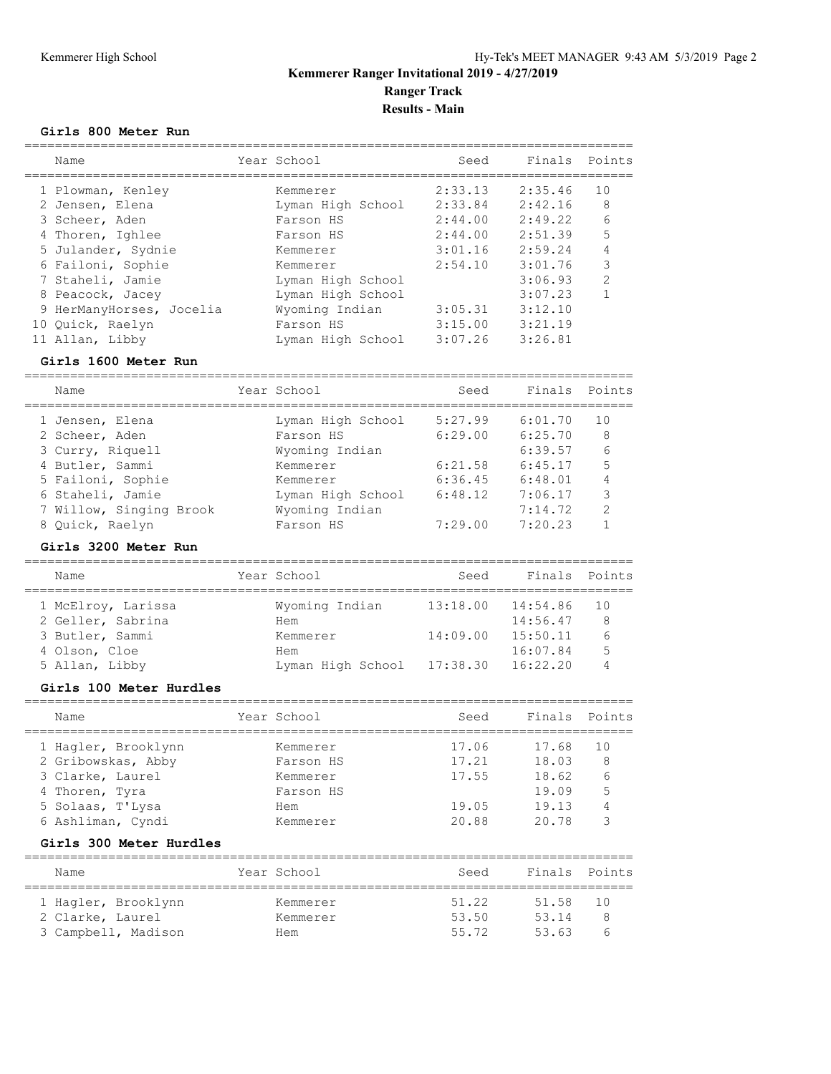#### **Girls 800 Meter Run**

|    | Name                     | Year School       | Seed    | Finals  | Points        |
|----|--------------------------|-------------------|---------|---------|---------------|
|    | 1 Plowman, Kenley        | Kemmerer          | 2:33.13 | 2:35.46 | 10            |
|    | 2 Jensen, Elena          | Lyman High School | 2:33.84 | 2:42.16 | 8             |
|    | 3 Scheer, Aden           | Farson HS         | 2:44.00 | 2:49.22 | 6             |
|    | 4 Thoren, Ighlee         | Farson HS         | 2:44.00 | 2:51.39 | 5             |
|    | 5 Julander, Sydnie       | Kemmerer          | 3:01.16 | 2:59.24 | 4             |
|    | 6 Failoni, Sophie        | Kemmerer          | 2:54.10 | 3:01.76 | 3             |
|    | 7 Staheli, Jamie         | Lyman High School |         | 3:06.93 | $\mathcal{P}$ |
|    | 8 Peacock, Jacey         | Lyman High School |         | 3:07.23 |               |
|    | 9 HerManyHorses, Jocelia | Wyoming Indian    | 3:05.31 | 3:12.10 |               |
| 10 | Ouick, Raelyn            | Farson HS         | 3:15.00 | 3:21.19 |               |
|    | 11 Allan, Libby          | Lyman High School | 3:07.26 | 3:26.81 |               |

#### **Girls 1600 Meter Run**

================================================================================

| Name                    | Year School |                   | Seed    | Finals Points |               |
|-------------------------|-------------|-------------------|---------|---------------|---------------|
| 1 Jensen, Elena         |             | Lyman High School | 5:27.99 | 6:01.70       | 10            |
| 2 Scheer, Aden          |             | Farson HS         | 6:29.00 | 6:25.70       | 8             |
| 3 Curry, Riquell        |             | Wyoming Indian    |         | 6:39.57       | 6             |
| 4 Butler, Sammi         |             | Kemmerer          | 6:21.58 | 6:45.17       | 5             |
| 5 Failoni, Sophie       |             | Kemmerer          | 6:36.45 | 6:48.01       | 4             |
| 6 Staheli, Jamie        |             | Lyman High School | 6:48.12 | 7:06.17       | 3             |
| 7 Willow, Singing Brook |             | Wyoming Indian    |         | 7:14.72       | $\mathcal{P}$ |
| 8 Ouick, Raelyn         |             | Farson HS         | 7:29.00 | 7:20.23       |               |

#### **Girls 3200 Meter Run**

| Name              |                    | Year School       | Seed                  | Finals Points |    |
|-------------------|--------------------|-------------------|-----------------------|---------------|----|
|                   | 1 McElroy, Larissa | Wyoming Indian    | $13:18.00$ $14:54.86$ |               | 10 |
| 2 Geller, Sabrina |                    | Hem               |                       | 14:56.47      | 8  |
| 3 Butler, Sammi   |                    | Kemmerer          | 14:09.00              | 15:50.11      | 6  |
| 4 Olson, Cloe     |                    | Hem               |                       | 16:07.84      | 5  |
| 5 Allan, Libby    |                    | Lyman High School | 17:38.30              | 16:22.20      |    |

#### **Girls 100 Meter Hurdles**

| Name                | Year School | Seed  | Finals Points |    |
|---------------------|-------------|-------|---------------|----|
| 1 Hagler, Brooklynn | Kemmerer    | 17.06 | 17.68         | 10 |
| 2 Gribowskas, Abby  | Farson HS   | 17.21 | 18.03         | 8  |
| 3 Clarke, Laurel    | Kemmerer    | 17.55 | 18.62         | 6  |
| 4 Thoren, Tyra      | Farson HS   |       | 19.09         | 5  |
| 5 Solaas, T'Lysa    | Hem         | 19.05 | 19.13         |    |
| 6 Ashliman, Cyndi   | Kemmerer    | 20.88 | 20.78         |    |
|                     |             |       |               |    |

#### **Girls 300 Meter Hurdles**

| Name                | Year School | Seed  | Finals Points |     |
|---------------------|-------------|-------|---------------|-----|
|                     |             |       |               |     |
| 1 Hagler, Brooklynn | Kemmerer    | 51.22 | 51.58         | 1 O |
| 2 Clarke, Laurel    | Kemmerer    | 53.50 | 53.14         |     |
| 3 Campbell, Madison | Hem         | 55.72 | 53.63         |     |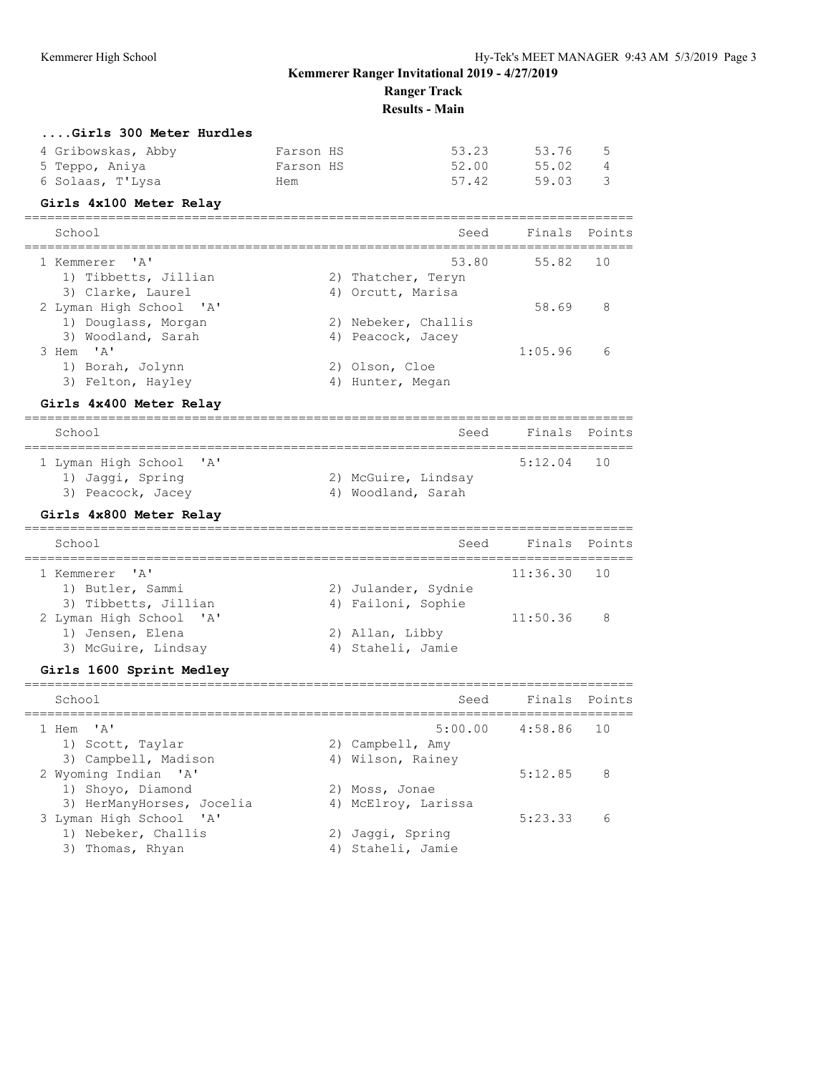**Results - Main**

| Girls 300 Meter Hurdles |  |           |  |
|-------------------------|--|-----------|--|
| 4 Gribowskas Abby       |  | Farson HS |  |

| 4 Gribowskas, Abby | Farson HS | 53.23 53.76 |       | - 5 |
|--------------------|-----------|-------------|-------|-----|
| 5 Teppo, Aniya     | Farson HS | 52.00       | 55.02 | - 4 |
| 6 Solaas, T'Lysa   | Hem       | 57.42       | 59.03 |     |

#### **Girls 4x100 Meter Relay**

| School                  |    |                     | Seed Finals Points |     |
|-------------------------|----|---------------------|--------------------|-----|
| 1 Kemmerer 'A'          |    |                     | 53.80 55.82 10     |     |
| 1) Tibbetts, Jillian    |    | 2) Thatcher, Teryn  |                    |     |
| 3) Clarke, Laurel       |    | 4) Orcutt, Marisa   |                    |     |
| 2 Lyman High School 'A' |    |                     | 58.69              | - 8 |
| 1) Douglass, Morgan     |    | 2) Nebeker, Challis |                    |     |
| 3) Woodland, Sarah      |    | 4) Peacock, Jacey   |                    |     |
| 3 Hem 'A'               |    |                     | 1:05.96            | 6   |
| 1) Borah, Jolynn        |    | 2) Olson, Cloe      |                    |     |
| 3) Felton, Hayley       | 4) | Hunter, Megan       |                    |     |

#### **Girls 4x400 Meter Relay**

| School                                | Seed                                      | Finals Points |
|---------------------------------------|-------------------------------------------|---------------|
| 1 Lyman High School 'A'               |                                           | $5:12.04$ 10  |
| 1) Jaqqi, Spring<br>3) Peacock, Jacey | 2) McGuire, Lindsay<br>4) Woodland, Sarah |               |

### **Girls 4x800 Meter Relay**

| School                  |                     | Seed | Finals Points |  |
|-------------------------|---------------------|------|---------------|--|
| 1 Kemmerer 'A'          |                     |      | $11:36.30$ 10 |  |
| 1) Butler, Sammi        | 2) Julander, Sydnie |      |               |  |
| 3) Tibbetts, Jillian    | 4) Failoni, Sophie  |      |               |  |
| 2 Lyman High School 'A' |                     |      | $11:50.36$ 8  |  |
| 1) Jensen, Elena        | 2) Allan, Libby     |      |               |  |
| 3) McGuire, Lindsay     | 4) Staheli, Jamie   |      |               |  |

### **Girls 1600 Sprint Medley**

| School                                                |                | Seed                                  | Finals Points       |    |
|-------------------------------------------------------|----------------|---------------------------------------|---------------------|----|
| 1 Hem 'A'<br>1) Scott, Taylar<br>3) Campbell, Madison |                | 2) Campbell, Amy<br>4) Wilson, Rainey | $5:00.00$ $4:58.86$ | 10 |
| 2 Wyoming Indian 'A'<br>1) Shoyo, Diamond             | 2) Moss, Jonae |                                       | 5:12.85             | 8  |
| 3) HerManyHorses, Jocelia<br>3 Lyman High School 'A'  |                | 4) McElroy, Larissa                   | 5:23.33             | 6  |
| 1) Nebeker, Challis<br>3) Thomas, Rhyan               | 4)             | 2) Jaqqi, Spring<br>Staheli, Jamie    |                     |    |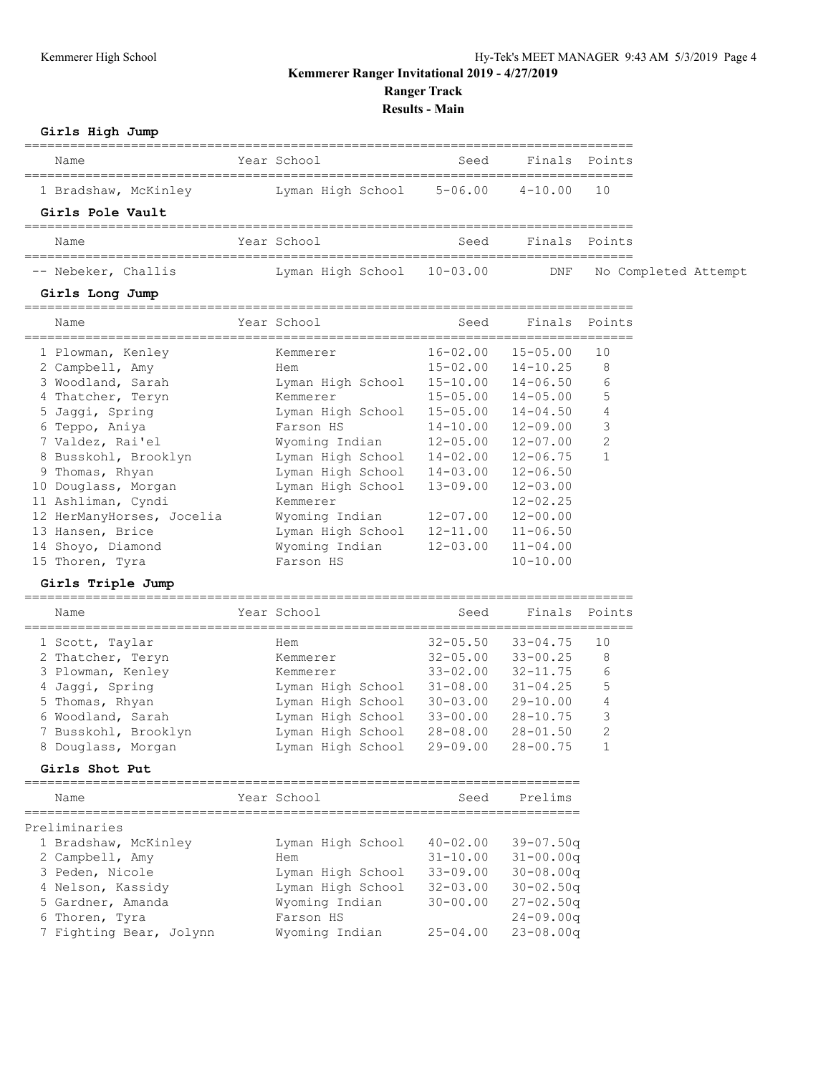### **Kemmerer Ranger Invitational 2019 - 4/27/2019**

**Ranger Track**

**Results - Main**

# **Girls High Jump**

| Giris High Jump                                      |                            |              |                           |                |                      |
|------------------------------------------------------|----------------------------|--------------|---------------------------|----------------|----------------------|
| Name                                                 | Year School                | Seed         | Finals Points             |                |                      |
| 1 Bradshaw, McKinley Man High School 5-06.00 4-10.00 |                            |              |                           | 10             |                      |
| Girls Pole Vault                                     |                            |              |                           |                |                      |
| Name                                                 | Year School                | Seed         | Finals Points             |                |                      |
| -- Nebeker, Challis                                  | Lyman High School 10-03.00 |              | DNF                       |                | No Completed Attempt |
| Girls Long Jump                                      |                            |              |                           |                |                      |
| Name                                                 | Year School                | Seed         | Finals Points             |                |                      |
| 1 Plowman, Kenley                                    | Kemmerer                   |              | $16 - 02.00$ $15 - 05.00$ | 10             |                      |
| 2 Campbell, Amy                                      | Hem                        |              | $15 - 02.00$ $14 - 10.25$ | 8              |                      |
| 3 Woodland, Sarah                                    | Lyman High School          | $15 - 10.00$ | $14 - 06.50$              | 6              |                      |
| 4 Thatcher, Teryn                                    | Kemmerer                   | $15 - 05.00$ | $14 - 05.00$              | 5              |                      |
| 5 Jaqqi, Spring                                      | Lyman High School 15-05.00 |              | $14 - 04.50$              | 4              |                      |
| 6 Teppo, Aniya                                       | Farson HS                  | $14 - 10.00$ | 12-09.00                  | 3              |                      |
| 7 Valdez, Rai'el                                     | Wyoming Indian 12-05.00    |              | 12-07.00                  | $\overline{2}$ |                      |
| 8 Busskohl, Brooklyn                                 | Lyman High School 14-02.00 |              | $12 - 06.75$              | $\mathbf{1}$   |                      |
| Thomas, Rhyan<br>9                                   | Lyman High School          | $14 - 03.00$ | $12 - 06.50$              |                |                      |
| 10 Douglass, Morgan                                  | Lyman High School          | 13-09.00     | $12 - 03.00$              |                |                      |
| 11 Ashliman, Cyndi                                   | Kemmerer                   |              | $12 - 02.25$              |                |                      |
| 12 HerManyHorses, Jocelia                            | Wyoming Indian             | 12-07.00     | $12 - 00.00$              |                |                      |
| 13 Hansen, Brice                                     | Lyman High School          | 12-11.00     | $11 - 06.50$              |                |                      |
| 14 Shoyo, Diamond                                    | Wyoming Indian             | $12 - 03.00$ | $11 - 04.00$              |                |                      |

#### 15 Thoren, Tyra Farson HS 10-10.00

#### **Girls Triple Jump**

| Name                 | Year School       | Seed         | Finals       | Points        |
|----------------------|-------------------|--------------|--------------|---------------|
| 1 Scott, Taylar      | Hem               | $32 - 05.50$ | $33 - 04.75$ | 10            |
| 2 Thatcher, Teryn    | Kemmerer          | $32 - 05.00$ | $33 - 00.25$ | 8             |
| 3 Plowman, Kenley    | Kemmerer          | $33 - 02.00$ | $32 - 11.75$ | 6             |
| 4 Jaqqi, Spring      | Lyman High School | $31 - 08.00$ | $31 - 04.25$ | 5             |
| 5 Thomas, Rhyan      | Lyman High School | $30 - 03.00$ | $29 - 10.00$ | 4             |
| 6 Woodland, Sarah    | Lyman High School | $33 - 00.00$ | $28 - 10.75$ | 3             |
| 7 Busskohl, Brooklyn | Lyman High School | $28 - 08.00$ | $28 - 01.50$ | $\mathcal{D}$ |
| 8 Douglass, Morgan   | Lyman High School | $29 - 09.00$ | $28 - 00.75$ |               |
|                      |                   |              |              |               |

#### **Girls Shot Put**

| Name                    | Year School       | Seed         | Prelims       |
|-------------------------|-------------------|--------------|---------------|
| Preliminaries           |                   |              |               |
| 1 Bradshaw, McKinley    | Lyman High School | $40 - 02.00$ | $39 - 07.50q$ |
| 2 Campbell, Amy         | Hem               | $31 - 10.00$ | $31 - 00.00q$ |
| 3 Peden, Nicole         | Lyman High School | $33 - 09.00$ | $30 - 08.00q$ |
| 4 Nelson, Kassidy       | Lyman High School | $32 - 03.00$ | $30 - 02.50q$ |
| 5 Gardner, Amanda       | Wyoming Indian    | $30 - 00.00$ | $27 - 02.50q$ |
| 6 Thoren, Tyra          | Farson HS         |              | $24 - 09.00q$ |
| 7 Fighting Bear, Jolynn | Wyoming Indian    | $25 - 04.00$ | $23 - 08.00q$ |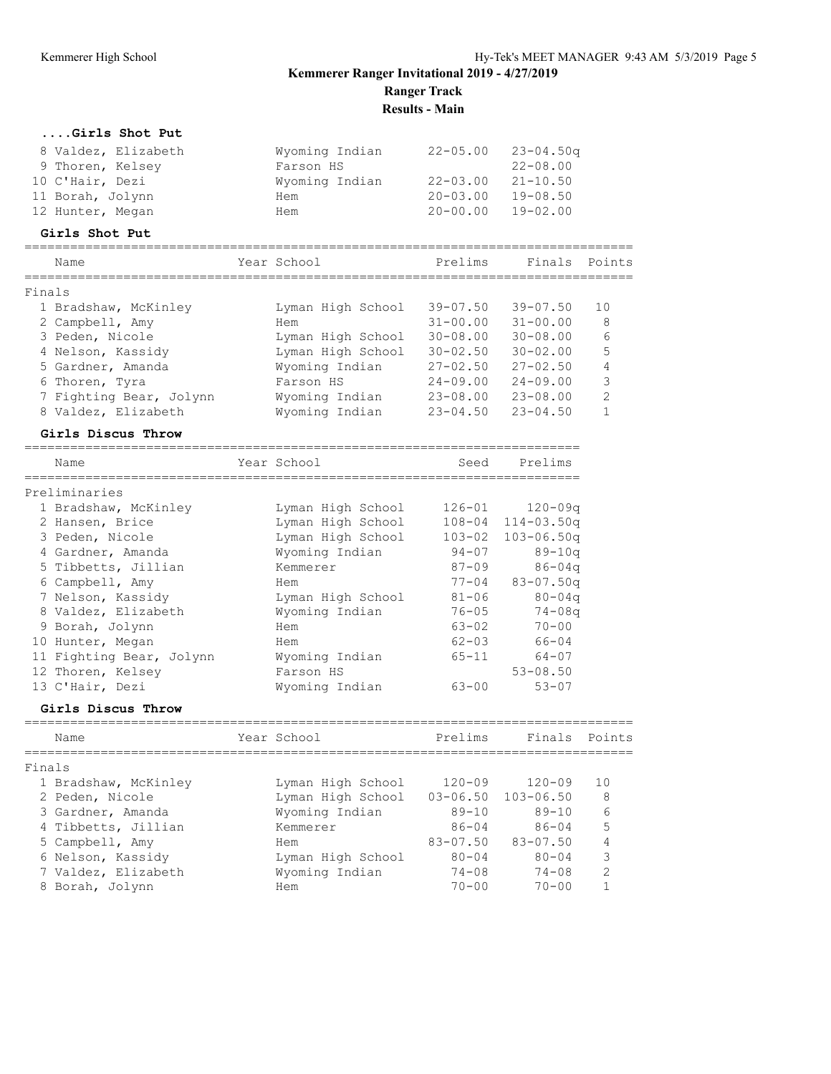**Results - Main**

|        | Girls Shot Put                                |                                     |               |                |                |
|--------|-----------------------------------------------|-------------------------------------|---------------|----------------|----------------|
|        | 8 Valdez, Elizabeth                           | Wyoming Indian                      | $22 - 05.00$  | $23 - 04.50q$  |                |
|        | 9 Thoren, Kelsey                              | Farson HS                           |               | $22 - 08.00$   |                |
|        | 10 C'Hair, Dezi                               | Wyoming Indian                      | 22-03.00      | $21 - 10.50$   |                |
|        | 11 Borah, Jolynn                              | Hem                                 | $20 - 03.00$  | $19 - 08.50$   |                |
|        | 12 Hunter, Megan                              | Hem                                 | 20-00.00      | $19 - 02.00$   |                |
|        | Girls Shot Put                                |                                     |               |                |                |
|        | Name                                          | Year School                         | Prelims       | Finals Points  |                |
| Finals | =========                                     |                                     |               |                |                |
|        | 1 Bradshaw, McKinley                          | Lyman High School                   | $39 - 07.50$  | $39 - 07.50$   | 10             |
|        | 2 Campbell, Amy                               | Hem                                 | $31 - 00.00$  | $31 - 00.00$   | 8              |
|        | 3 Peden, Nicole                               | Lyman High School                   | $30 - 08.00$  | $30 - 08.00$   | 6              |
|        | 4 Nelson, Kassidy                             | Lyman High School                   | $30 - 02.50$  | $30 - 02.00$   | 5              |
|        | 5 Gardner, Amanda                             | Wyoming Indian                      | $27 - 02.50$  | $27 - 02.50$   | $\overline{4}$ |
|        | 6 Thoren, Tyra                                | Farson HS                           | $24 - 09.00$  | $24 - 09.00$   | 3              |
|        | 7 Fighting Bear, Jolynn                       | Wyoming Indian                      | $23 - 08.00$  | $23 - 08.00$   | $\mathbf{2}$   |
|        | 8 Valdez, Elizabeth                           | Wyoming Indian                      | $23 - 04.50$  | $23 - 04.50$   | $\mathbf{1}$   |
|        | Girls Discus Throw                            |                                     |               |                |                |
|        | ===================================           | ----------------------------------- |               |                |                |
|        | Name<br>===========                           | Year School                         | Seed          | Prelims        |                |
|        | Preliminaries                                 |                                     |               |                |                |
|        | 1 Bradshaw, McKinley                          | Lyman High School                   | $126 - 01$    | $120 - 09q$    |                |
|        | 2 Hansen, Brice                               | Lyman High School                   | $108 - 04$    | $114 - 03.50q$ |                |
|        | 3 Peden, Nicole                               | Lyman High School                   | $103 - 02$    | $103 - 06.50q$ |                |
|        | 4 Gardner, Amanda                             | Wyoming Indian                      | $94 - 07$     | $89 - 10q$     |                |
|        | 5 Tibbetts, Jillian                           | Kemmerer                            | $87 - 09$     | $86 - 04q$     |                |
|        | 6 Campbell, Amy                               | Hem                                 | $77 - 04$     | $83 - 07.50q$  |                |
|        | 7 Nelson, Kassidy                             | Lyman High School                   | $81 - 06$     | $80 - 04q$     |                |
|        | 8 Valdez, Elizabeth                           | Wyoming Indian                      | $76 - 05$     | $74 - 08q$     |                |
|        | 9 Borah, Jolynn                               | Hem                                 | $63 - 02$     | $70 - 00$      |                |
|        | 10 Hunter, Megan                              | Hem                                 | $62 - 03$     | 66-04          |                |
|        | 11 Fighting Bear, Jolynn                      | Wyoming Indian                      | $65 - 11$     | 64-07          |                |
|        | 12 Thoren, Kelsey                             | Farson HS                           |               | $53 - 08.50$   |                |
|        | 13 C'Hair, Dezi                               | Wyoming Indian                      | $63 - 00$     | $53 - 07$      |                |
|        | Girls Discus Throw                            |                                     |               |                |                |
|        | =====================================<br>Name | Year School                         | Prelims       | Finals         | Points         |
|        |                                               |                                     | ============= |                |                |
| Finals |                                               |                                     |               |                |                |
|        | 1 Bradshaw, McKinley                          | Lyman High School                   | $120 - 09$    | $120 - 09$     | 10             |
|        | 2 Peden, Nicole                               | Lyman High School                   | $03 - 06.50$  | $103 - 06.50$  | 8              |
|        | 3 Gardner, Amanda                             | Wyoming Indian                      | $89 - 10$     | $89 - 10$      | 6              |
|        | 4 Tibbetts, Jillian                           | Kemmerer                            | $86 - 04$     | $86 - 04$      | 5              |
|        | 5 Campbell, Amy                               | Hem                                 | $83 - 07.50$  | $83 - 07.50$   | 4              |
|        | 6 Nelson, Kassidy                             | Lyman High School                   | $80 - 04$     | $80 - 04$      | 3              |
|        | 7 Valdez, Elizabeth                           | Wyoming Indian                      | $74 - 08$     | $74 - 08$      | $\overline{c}$ |
|        | 8 Borah, Jolynn                               | Hem                                 | $70 - 00$     | $70 - 00$      | 1              |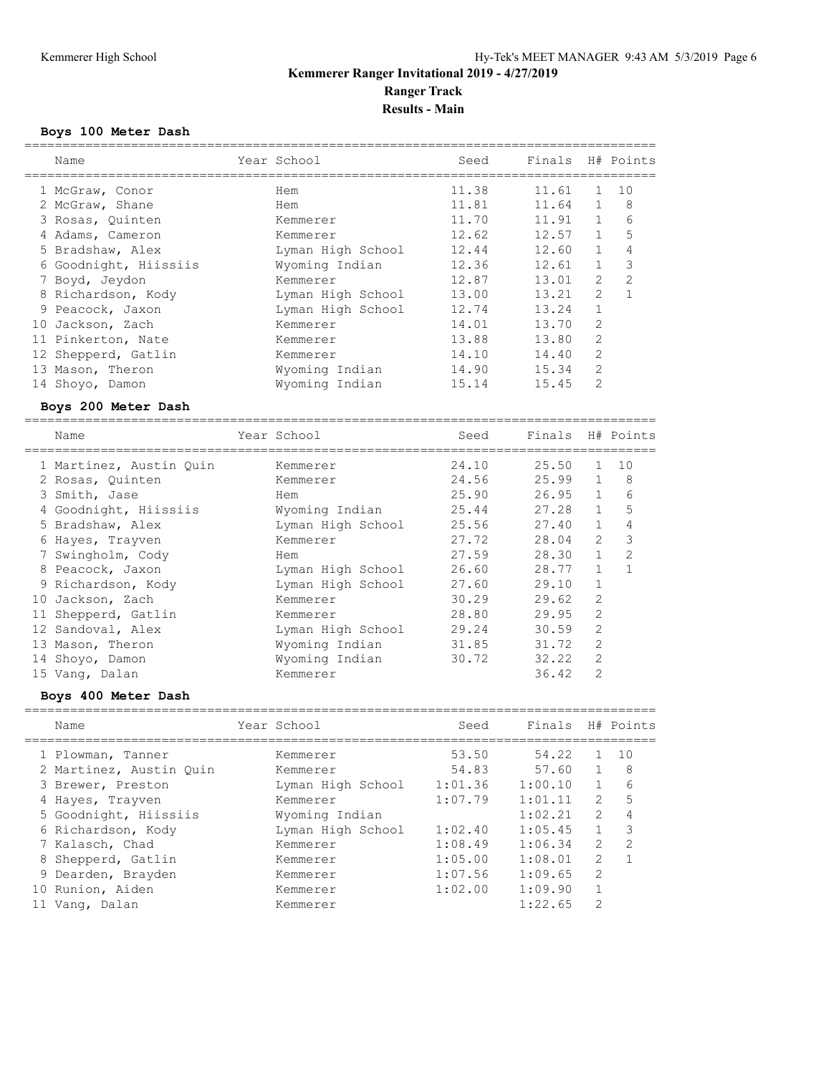#### **Boys 100 Meter Dash**

| Name                    | Year School       | Seed    | Finals  |                | H# Points      |
|-------------------------|-------------------|---------|---------|----------------|----------------|
| 1 McGraw, Conor         | Hem               | 11.38   | 11.61   | $\mathbf{1}$   | 10             |
| 2 McGraw, Shane         | Hem               | 11.81   | 11.64   | $\mathbf 1$    | 8              |
| 3 Rosas, Quinten        | Kemmerer          | 11.70   | 11.91   | $\mathbf{1}$   | 6              |
| 4 Adams, Cameron        | Kemmerer          | 12.62   | 12.57   | $\mathbf{1}$   | 5              |
| 5 Bradshaw, Alex        | Lyman High School | 12.44   | 12.60   | $\mathbf{1}$   | 4              |
| 6 Goodnight, Hiissiis   | Wyoming Indian    | 12.36   | 12.61   | $\mathbf{1}$   | $\mathcal{S}$  |
| 7 Boyd, Jeydon          | Kemmerer          | 12.87   | 13.01   | 2              | $\overline{c}$ |
| 8 Richardson, Kody      | Lyman High School | 13.00   | 13.21   | 2              | $\mathbf{1}$   |
| 9 Peacock, Jaxon        | Lyman High School | 12.74   | 13.24   | $\mathbf{1}$   |                |
| 10 Jackson, Zach        | Kemmerer          | 14.01   | 13.70   | $\mathbf{2}$   |                |
| 11 Pinkerton, Nate      | Kemmerer          | 13.88   | 13.80   | $\mathbf{2}$   |                |
| 12 Shepperd, Gatlin     | Kemmerer          | 14.10   | 14.40   | $\overline{c}$ |                |
| 13 Mason, Theron        | Wyoming Indian    | 14.90   | 15.34   | $\mathbf{2}$   |                |
| 14 Shoyo, Damon         | Wyoming Indian    | 15.14   | 15.45   | $\overline{c}$ |                |
| Boys 200 Meter Dash     |                   |         |         |                |                |
| Name                    | Year School       |         | Finals  |                | H# Points      |
|                         |                   | Seed    |         |                |                |
| 1 Martinez, Austin Quin | Kemmerer          | 24.10   | 25.50   | $\mathbf{1}$   | 10             |
| 2 Rosas, Quinten        | Kemmerer          | 24.56   | 25.99   | $\mathbf{1}$   | 8              |
| 3 Smith, Jase           | Hem               | 25.90   | 26.95   | $\mathbf{1}$   | 6              |
| 4 Goodnight, Hiissiis   | Wyoming Indian    | 25.44   | 27.28   | $\mathbf 1$    | 5              |
| 5 Bradshaw, Alex        | Lyman High School | 25.56   | 27.40   | $\mathbf{1}$   | $\sqrt{4}$     |
| 6 Hayes, Trayven        | Kemmerer          | 27.72   | 28.04   | $\mathbf{2}$   | $\mathfrak{Z}$ |
| 7 Swingholm, Cody       | Hem               | 27.59   | 28.30   | $\mathbf{1}$   | $\overline{c}$ |
| 8 Peacock, Jaxon        | Lyman High School | 26.60   | 28.77   | $\mathbf{1}$   | $\mathbf{1}$   |
| 9 Richardson, Kody      | Lyman High School | 27.60   | 29.10   | $\mathbf{1}$   |                |
| 10 Jackson, Zach        | Kemmerer          | 30.29   | 29.62   | $\sqrt{2}$     |                |
| 11 Shepperd, Gatlin     | Kemmerer          | 28.80   | 29.95   | $\mathbf{2}$   |                |
| 12 Sandoval, Alex       | Lyman High School | 29.24   | 30.59   | 2              |                |
| 13 Mason, Theron        | Wyoming Indian    | 31.85   | 31.72   | $\mathbf{2}$   |                |
| 14 Shoyo, Damon         | Wyoming Indian    | 30.72   | 32.22   | $\overline{c}$ |                |
| 15 Vang, Dalan          | Kemmerer          |         | 36.42   | $\overline{c}$ |                |
| Boys 400 Meter Dash     |                   |         |         |                |                |
|                         |                   |         |         |                |                |
| Name                    | Year School       | Seed    | Finals  |                | H# Points      |
| 1 Plowman, Tanner       | Kemmerer          | 53.50   | 54.22   | $\mathbf{1}$   | 10             |
| 2 Martinez, Austin Quin | Kemmerer          | 54.83   | 57.60   | $\mathbf{1}$   | 8              |
| 3 Brewer, Preston       | Lyman High School | 1:01.36 | 1:00.10 | $\mathbf 1$    | 6              |
| 4 Hayes, Trayven        | Kemmerer          | 1:07.79 | 1:01.11 | 2              | 5              |
| 5 Goodnight, Hiissiis   | Wyoming Indian    |         | 1:02.21 | $\mathbf{2}$   | 4              |
| 6 Richardson, Kody      | Lyman High School | 1:02.40 | 1:05.45 | $\mathbf{1}$   | 3              |
| 7 Kalasch, Chad         | Kemmerer          | 1:08.49 | 1:06.34 | 2              | $\sqrt{2}$     |
| 8 Shepperd, Gatlin      | Kemmerer          | 1:05.00 | 1:08.01 | $\mathbf{2}$   | 1              |
| 9 Dearden, Brayden      | Kemmerer          | 1:07.56 | 1:09.65 | $\mathbf{2}$   |                |
| 10 Runion, Aiden        | Kemmerer          | 1:02.00 | 1:09.90 | $\mathbf{1}$   |                |
| 11 Vang, Dalan          | Kemmerer          |         | 1:22.65 | $\mathbf{2}$   |                |
|                         |                   |         |         |                |                |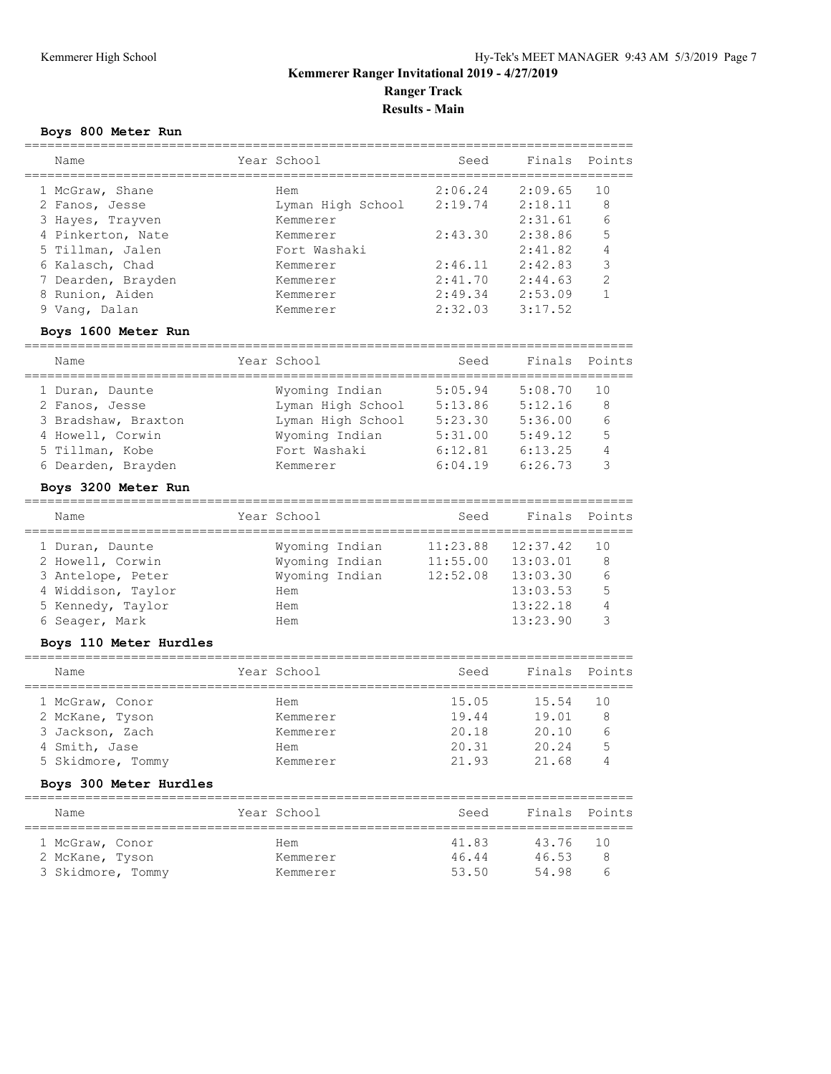**Results - Main**

#### **Boys 800 Meter Run**

| Name               | Year School       | Seed    | Finals  | Points        |
|--------------------|-------------------|---------|---------|---------------|
| 1 McGraw, Shane    | Hem               | 2:06.24 | 2:09.65 | 10            |
| 2 Fanos, Jesse     | Lyman High School | 2:19.74 | 2:18.11 | 8             |
| 3 Hayes, Trayven   | Kemmerer          |         | 2:31.61 | 6             |
| 4 Pinkerton, Nate  | Kemmerer          | 2:43.30 | 2:38.86 | 5             |
| 5 Tillman, Jalen   | Fort Washaki      |         | 2:41.82 | 4             |
| 6 Kalasch, Chad    | Kemmerer          | 2:46.11 | 2:42.83 | 3             |
| 7 Dearden, Brayden | Kemmerer          | 2:41.70 | 2:44.63 | $\mathcal{P}$ |
| 8 Runion, Aiden    | Kemmerer          | 2:49.34 | 2:53.09 |               |
| 9 Vang, Dalan      | Kemmerer          | 2:32.03 | 3:17.52 |               |
|                    |                   |         |         |               |

#### **Boys 1600 Meter Run**

| Name                | Year School       | Seed    | Finals Points |     |
|---------------------|-------------------|---------|---------------|-----|
| 1 Duran, Daunte     | Wyoming Indian    | 5:05.94 | 5:08.70       | 1 O |
| 2 Fanos, Jesse      | Lyman High School | 5:13.86 | 5:12.16       | 8   |
| 3 Bradshaw, Braxton | Lyman High School | 5:23.30 | 5:36.00       | 6   |
| 4 Howell, Corwin    | Wyoming Indian    | 5:31.00 | 5:49.12       | 5   |
| 5 Tillman, Kobe     | Fort Washaki      | 6:12.81 | 6:13.25       | 4   |
| 6 Dearden, Brayden  | Kemmerer          | 6:04.19 | 6:26.73       | 3   |
|                     |                   |         |               |     |

#### **Boys 3200 Meter Run**

| Name               | Year School    | Seed     | Finals Points |     |
|--------------------|----------------|----------|---------------|-----|
| 1 Duran, Daunte    | Wyoming Indian | 11:23.88 | 12:37.42      | 1 O |
| 2 Howell, Corwin   | Wyoming Indian | 11:55.00 | 13:03.01      | 8   |
| 3 Antelope, Peter  | Wyoming Indian | 12:52.08 | 13:03.30      | 6   |
| 4 Widdison, Taylor | Hem            |          | 13:03.53      | 5   |
| 5 Kennedy, Taylor  | Hem            |          | 13:22.18      |     |
| 6 Seager, Mark     | Hem            |          | 13:23.90      |     |
|                    |                |          |               |     |

### **Boys 110 Meter Hurdles**

| Name              | Year School | Seed  | Finals Points |     |
|-------------------|-------------|-------|---------------|-----|
|                   |             |       |               |     |
| 1 McGraw, Conor   | Hem         | 15.05 | 15.54         | 1 O |
| 2 McKane, Tyson   | Kemmerer    | 19.44 | 19.01         | 8   |
| 3 Jackson, Zach   | Kemmerer    | 20.18 | 20.10         |     |
| 4 Smith, Jase     | Hem         | 20.31 | 20.24         | 5   |
| 5 Skidmore, Tommy | Kemmerer    | 21.93 | 21 68         |     |

### **Boys 300 Meter Hurdles**

| Name              | Year School | Seed  | Finals Points |       |  |  |  |
|-------------------|-------------|-------|---------------|-------|--|--|--|
| 1 McGraw, Conor   | Hem         | 41.83 | 43.76         | ່ 1 N |  |  |  |
| 2 McKane, Tyson   | Kemmerer    | 46.44 | 46.53         | R     |  |  |  |
| 3 Skidmore, Tommy | Kemmerer    | 53.50 | 54 98         | 'n    |  |  |  |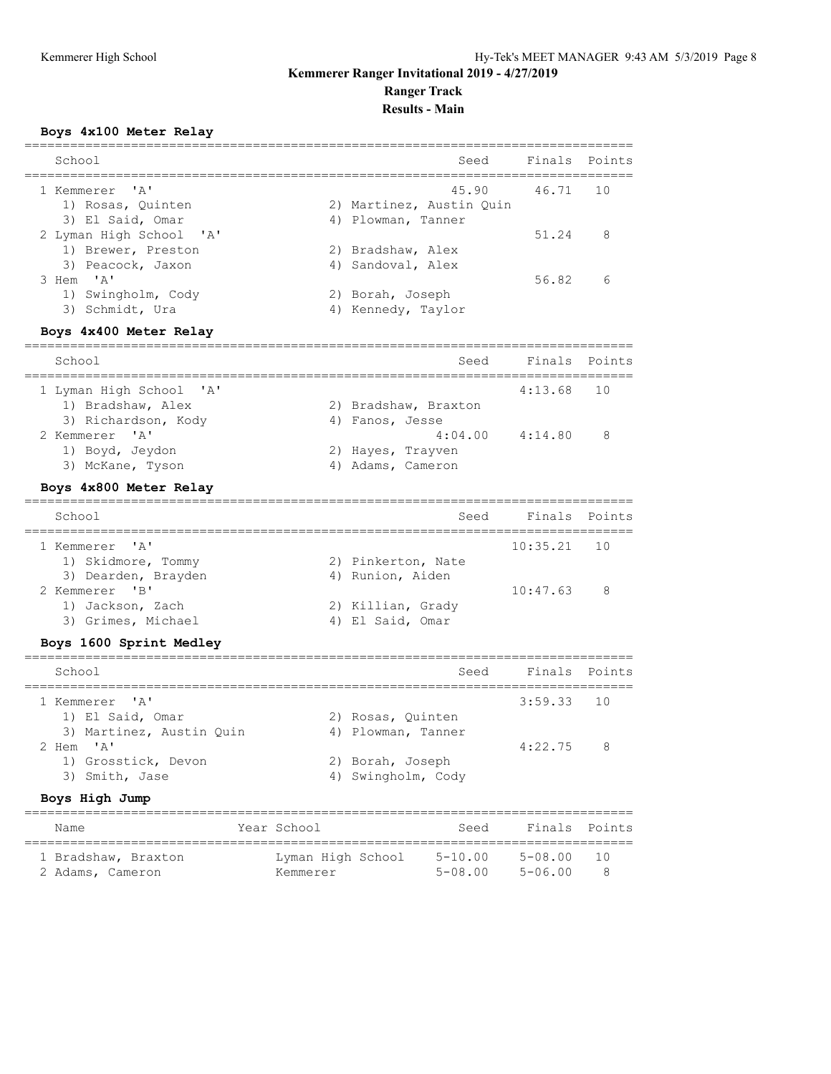### **Results - Main**

#### **Boys 4x100 Meter Relay**

| Finals Points<br>45.90<br>46.71 | 10 |
|---------------------------------|----|
|                                 |    |
|                                 |    |
| 51.24                           | 8  |
| 56.82                           | 6  |
|                                 |    |

#### **Boys 4x400 Meter Relay**

| School                  | Seed                 | Finals Points |   |
|-------------------------|----------------------|---------------|---|
| 1 Lyman High School 'A' |                      | $4:13.68$ 10  |   |
| 1) Bradshaw, Alex       | 2) Bradshaw, Braxton |               |   |
| 3) Richardson, Kody     | 4) Fanos, Jesse      |               |   |
| 2 Kemmerer 'A'          | 4:04.00              | 4:14.80       | 8 |
| 1) Boyd, Jeydon         | 2) Hayes, Trayven    |               |   |
| 3) McKane, Tyson        | 4) Adams, Cameron    |               |   |
|                         |                      |               |   |

#### **Boys 4x800 Meter Relay**

| School              | Seed               | Finals Points |     |
|---------------------|--------------------|---------------|-----|
| 1 Kemmerer 'A'      |                    | $10:35.21$ 10 |     |
| 1) Skidmore, Tommy  | 2) Pinkerton, Nate |               |     |
| 3) Dearden, Brayden | 4) Runion, Aiden   |               |     |
| 2 Kemmerer 'B'      |                    | 10:47.63      | - 8 |
| 1) Jackson, Zach    | 2) Killian, Grady  |               |     |
| 3) Grimes, Michael  | 4) El Said, Omar   |               |     |

### **Boys 1600 Sprint Medley**

| School                   | Seed               | Finals Points |  |
|--------------------------|--------------------|---------------|--|
| 1 Kemmerer 'A'           |                    | $3:59.33$ 10  |  |
| 1) El Said, Omar         | 2) Rosas, Quinten  |               |  |
| 3) Martinez, Austin Quin | 4) Plowman, Tanner |               |  |
| 2 Hem 'A'                |                    | $4:22.75$ 8   |  |
| 1) Grosstick, Devon      | 2) Borah, Joseph   |               |  |
| 3) Smith, Jase           | 4) Swingholm, Cody |               |  |
|                          |                    |               |  |

#### **Boys High Jump**

| Name                | Year School       | Seed        | Finals Points |       |
|---------------------|-------------------|-------------|---------------|-------|
| 1 Bradshaw, Braxton | Lyman High School | $5 - 10.00$ | $5 - 08.00$   | ີ 1 ∩ |
| 2 Adams, Cameron    | Kemmerer          | $5 - 08.00$ | $5 - 06.00$   |       |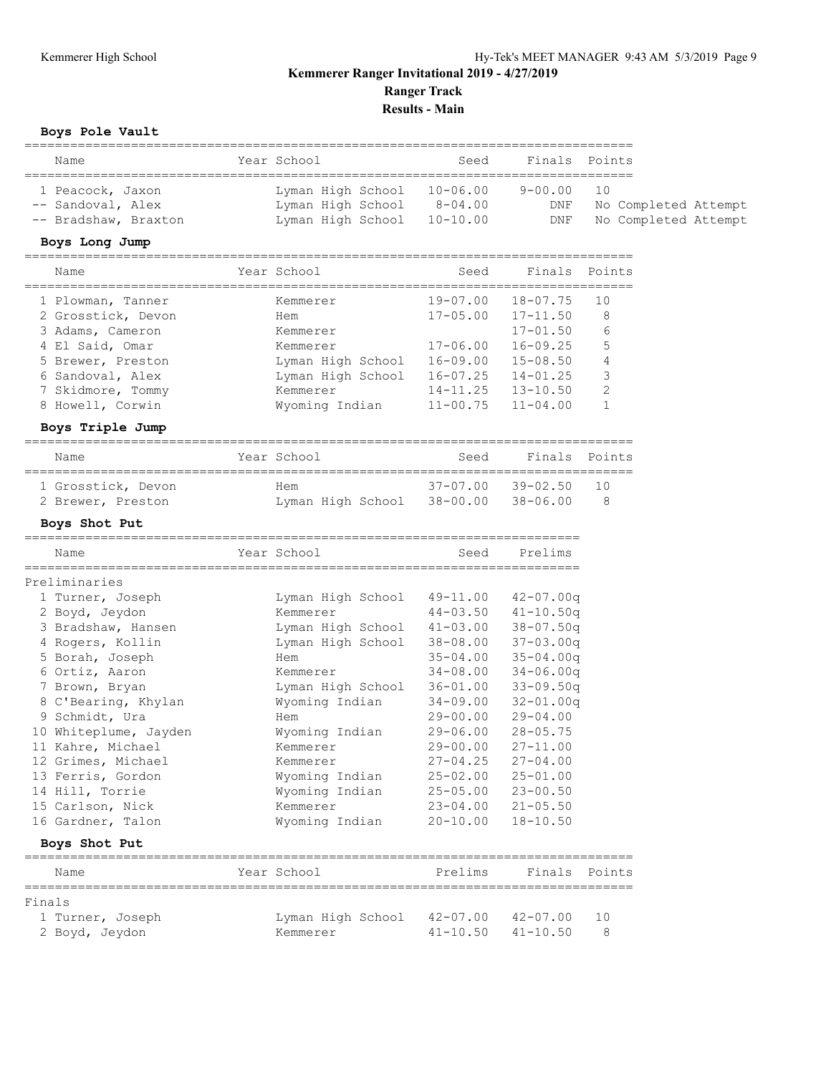**Results - Main**

#### **Boys Pole Vault**

| Name                                                          | Year School                                                                   | Seed        |                              | Finals Points                                |
|---------------------------------------------------------------|-------------------------------------------------------------------------------|-------------|------------------------------|----------------------------------------------|
| 1 Peacock, Jaxon<br>-- Sandoval, Alex<br>-- Bradshaw, Braxton | Lyman High School 10-06.00<br>Lyman High School<br>Lyman High School 10-10.00 | $8 - 04.00$ | $9 - 00.00$ 10<br>DNF<br>DNF | No Completed Attempt<br>No Completed Attempt |

#### **Boys Long Jump**

| Name               | Year School       | Seed         | Finals       | Points        |
|--------------------|-------------------|--------------|--------------|---------------|
| 1 Plowman, Tanner  | Kemmerer          | $19 - 07.00$ | $18 - 07.75$ | 1 O           |
| 2 Grosstick, Devon | Hem               | $17 - 05.00$ | $17 - 11.50$ | 8             |
| 3 Adams, Cameron   | Kemmerer          |              | $17 - 01.50$ | 6             |
| 4 El Said, Omar    | Kemmerer          | $17 - 06.00$ | $16 - 09.25$ | 5             |
| 5 Brewer, Preston  | Lyman High School | $16 - 09.00$ | $15 - 08.50$ |               |
| 6 Sandoval, Alex   | Lyman High School | $16 - 07.25$ | $14 - 01.25$ | 3             |
| 7 Skidmore, Tommy  | Kemmerer          | $14 - 11.25$ | $13 - 10.50$ | $\mathcal{D}$ |
| 8 Howell, Corwin   | Wyoming Indian    | $11 - 00.75$ | $11 - 04.00$ |               |

#### **Boys Triple Jump**

|                                  |                              |          |                                                                      | ---<br>____ |
|----------------------------------|------------------------------|----------|----------------------------------------------------------------------|-------------|
| $\overline{\phantom{a}}$<br>Name | $ -$<br>∕ 2 ⊇ ′<br>- -<br>__ | SAA<br>. | $\sim$ $\sim$<br>. .<br>--<br>. -------<br><b>.</b><br>$\sim$ $\sim$ | ہں<br>---   |

| 1 Grosstick, Devon | Hem                                 | 37-07.00 39-02.50 10 |              |
|--------------------|-------------------------------------|----------------------|--------------|
| 2 Brewer, Preston  | Lyman High School 38-00.00 38-06.00 |                      | $\mathbf{R}$ |

#### **Boys Shot Put**

| Name                  | Year School       | Seed         | Prelims       |  |
|-----------------------|-------------------|--------------|---------------|--|
| Preliminaries         |                   |              |               |  |
| 1 Turner, Joseph      | Lyman High School | 49-11.00     | $42 - 07.00q$ |  |
| 2 Boyd, Jeydon        | Kemmerer          | $44 - 03.50$ | $41 - 10.50q$ |  |
| 3 Bradshaw, Hansen    | Lyman High School | $41 - 03.00$ | $38 - 07.50q$ |  |
| 4 Rogers, Kollin      | Lyman High School | 38-08.00     | $37 - 03.00q$ |  |
| 5 Borah, Joseph       | Hem               | $35 - 04.00$ | $35 - 04.00q$ |  |
| 6 Ortiz, Aaron        | Kemmerer          | $34 - 08.00$ | $34 - 06.00q$ |  |
| 7 Brown, Bryan        | Lyman High School | $36 - 01.00$ | $33 - 09.50q$ |  |
| 8 C'Bearing, Khylan   | Wyoming Indian    | $34 - 09.00$ | $32 - 01.00q$ |  |
| 9 Schmidt, Ura        | Hem               | $29 - 00.00$ | $29 - 04.00$  |  |
| 10 Whiteplume, Jayden | Wyoming Indian    | $29 - 06.00$ | $28 - 05.75$  |  |
| 11 Kahre, Michael     | Kemmerer          | $29 - 00.00$ | $27 - 11.00$  |  |
| 12 Grimes, Michael    | Kemmerer          | $27 - 04.25$ | $27 - 04.00$  |  |
| 13 Ferris, Gordon     | Wyoming Indian    | $25 - 02.00$ | $25 - 01.00$  |  |
| 14 Hill, Torrie       | Wyoming Indian    | $25 - 05.00$ | $23 - 00.50$  |  |
| 15 Carlson, Nick      | Kemmerer          | $23 - 04.00$ | $21 - 05.50$  |  |
| 16 Gardner, Talon     | Wyoming Indian    | $20 - 10.00$ | $18 - 10.50$  |  |
| Boys Shot Put         |                   |              |               |  |
| Name                  | Year School       | Prelims      | Finals Points |  |

| Finals           |                                     |                           |     |
|------------------|-------------------------------------|---------------------------|-----|
| 1 Turner, Joseph | Lyman High School 42-07.00 42-07.00 |                           | 10  |
| 2 Boyd, Jeydon   | Kemmerer                            | $41 - 10.50$ $41 - 10.50$ | - 8 |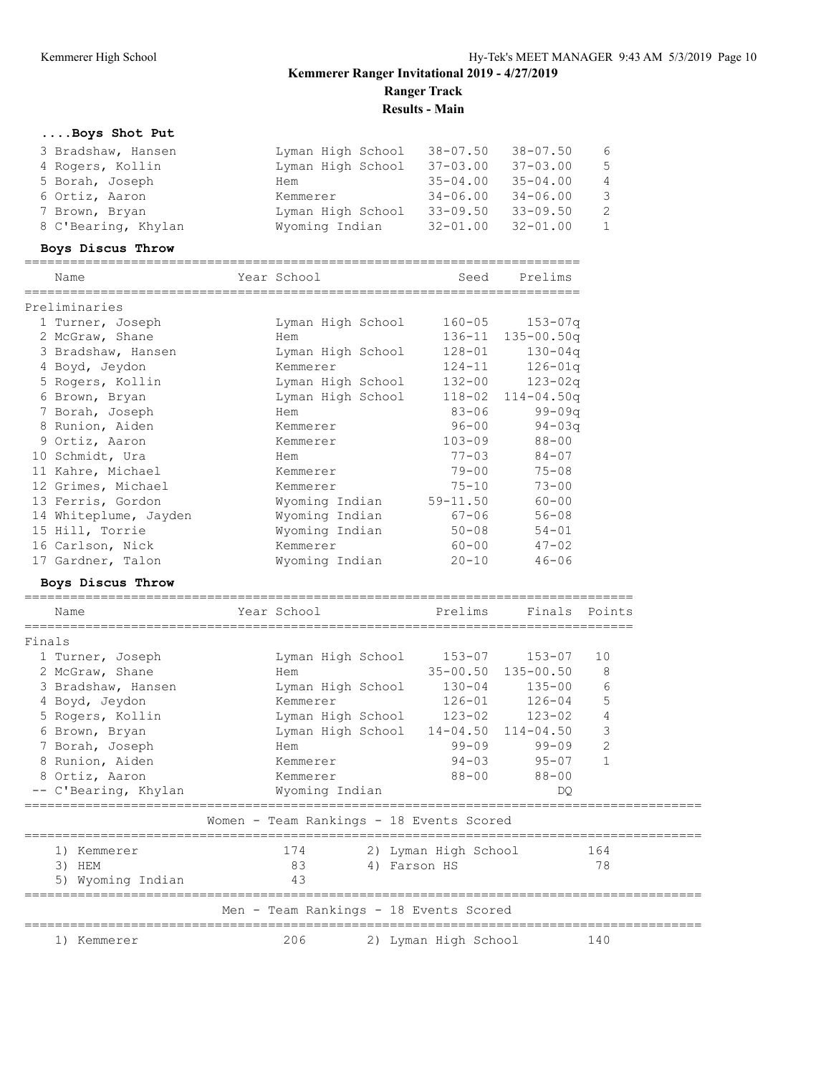# **....Boys Shot Put**

|        | 3 Bradshaw, Hansen<br>4 Rogers, Kollin<br>5 Borah, Joseph<br>6 Ortiz, Aaron<br>7 Brown, Bryan<br>8 C'Bearing, Khylan | Lyman High School 38-07.50<br>Lyman High School 37-03.00<br>Hem<br>Kemmerer<br>Lyman High School 33-09.50<br>Wyoming Indian | $35 - 04.00$<br>$34 - 06.00$<br>$32 - 01.00$ | $38 - 07.50$<br>$37 - 03.00$<br>$35 - 04.00$<br>$34 - 06.00$<br>$33 - 09.50$<br>$32 - 01.00$ | 6<br>5<br>4<br>3<br>$\mathbf{2}$<br>$\mathbf{1}$ |
|--------|----------------------------------------------------------------------------------------------------------------------|-----------------------------------------------------------------------------------------------------------------------------|----------------------------------------------|----------------------------------------------------------------------------------------------|--------------------------------------------------|
|        | Boys Discus Throw<br>Name                                                                                            | Year School                                                                                                                 | Seed                                         | Prelims                                                                                      |                                                  |
|        |                                                                                                                      |                                                                                                                             |                                              |                                                                                              |                                                  |
|        | Preliminaries                                                                                                        |                                                                                                                             |                                              |                                                                                              |                                                  |
|        | 1 Turner, Joseph                                                                                                     | Lyman High School                                                                                                           | $160 - 05$                                   | $153 - 07q$                                                                                  |                                                  |
|        | 2 McGraw, Shane                                                                                                      | Hem                                                                                                                         |                                              | 136-11 135-00.50q                                                                            |                                                  |
|        | 3 Bradshaw, Hansen                                                                                                   | Lyman High School                                                                                                           | $128 - 01$                                   | $130 - 04q$                                                                                  |                                                  |
|        | 4 Boyd, Jeydon                                                                                                       | Kemmerer                                                                                                                    | $124 - 11$                                   | $126 - 01q$                                                                                  |                                                  |
|        | 5 Rogers, Kollin                                                                                                     | Lyman High School                                                                                                           | 132-00                                       | $123 - 02q$                                                                                  |                                                  |
|        | 6 Brown, Bryan                                                                                                       | Lyman High School                                                                                                           |                                              | $118 - 02$ $114 - 04.50q$                                                                    |                                                  |
|        | 7 Borah, Joseph                                                                                                      | Hem                                                                                                                         | $83 - 06$                                    | $99 - 09q$                                                                                   |                                                  |
|        | 8 Runion, Aiden                                                                                                      | Kemmerer                                                                                                                    | $96 - 00$                                    | $94 - 03q$                                                                                   |                                                  |
|        | 9 Ortiz, Aaron                                                                                                       | Kemmerer                                                                                                                    | $103 - 09$                                   | $88 - 00$                                                                                    |                                                  |
|        | 10 Schmidt, Ura                                                                                                      | Hem                                                                                                                         | $77 - 03$                                    | $84 - 07$                                                                                    |                                                  |
|        | 11 Kahre, Michael                                                                                                    | Kemmerer                                                                                                                    | $79 - 00$                                    | $75 - 08$                                                                                    |                                                  |
|        | 12 Grimes, Michael                                                                                                   | Kemmerer                                                                                                                    | $75 - 10$                                    | $73 - 00$                                                                                    |                                                  |
|        | 13 Ferris, Gordon                                                                                                    | Wyoming Indian                                                                                                              | $59 - 11.50$                                 | $60 - 00$                                                                                    |                                                  |
|        | 14 Whiteplume, Jayden                                                                                                | Wyoming Indian                                                                                                              | 67-06                                        | $56 - 08$                                                                                    |                                                  |
|        | 15 Hill, Torrie                                                                                                      | Wyoming Indian                                                                                                              | $50 - 08$                                    | $54 - 01$                                                                                    |                                                  |
|        | 16 Carlson, Nick                                                                                                     | Kemmerer                                                                                                                    | $60 - 00$                                    | $47 - 02$                                                                                    |                                                  |
|        | 17 Gardner, Talon                                                                                                    | Wyoming Indian                                                                                                              | $20 - 10$                                    | $46 - 06$                                                                                    |                                                  |
|        | Boys Discus Throw                                                                                                    |                                                                                                                             |                                              |                                                                                              |                                                  |
|        | Name                                                                                                                 | Year School                                                                                                                 | Prelims                                      | Finals                                                                                       | Points                                           |
| Finals |                                                                                                                      |                                                                                                                             |                                              |                                                                                              |                                                  |

| 1 Turner, Joseph     | Lyman High School                        | 153-07 153-07        |                    | 10             |  |
|----------------------|------------------------------------------|----------------------|--------------------|----------------|--|
| 2 McGraw, Shane      | Hem                                      |                      | 35-00.50 135-00.50 | 8              |  |
| 3 Bradshaw, Hansen   | Lyman High School                        |                      | 130-04 135-00      | 6              |  |
| 4 Boyd, Jeydon       | Kemmerer                                 |                      | 126-01 126-04      | 5              |  |
| 5 Rogers, Kollin     | Lyman High School 123-02 123-02          |                      |                    | 4              |  |
| 6 Brown, Bryan       | Lyman High School 14-04.50 114-04.50     |                      |                    | 3              |  |
| 7 Borah, Joseph      | Hem                                      | $99 - 09$            | 99-09              | $\overline{2}$ |  |
| 8 Runion, Aiden      | Kemmerer                                 |                      | 94-03 95-07        |                |  |
| 8 Ortiz, Aaron       | Kemmerer                                 | 88-00                | 88-00              |                |  |
| -- C'Bearing, Khylan | Wyoming Indian                           |                      | DO                 |                |  |
|                      |                                          |                      |                    |                |  |
|                      |                                          |                      |                    |                |  |
|                      | Women - Team Rankings - 18 Events Scored |                      |                    |                |  |
| 1) Kemmerer          | 174                                      | 2) Lyman High School |                    | 164            |  |
| HEM<br>3)            | 83                                       | 4) Farson HS         |                    | 78             |  |
| 5) Wyoming Indian    | 43                                       |                      |                    |                |  |
|                      | Men - Team Rankings - 18 Events Scored   |                      |                    |                |  |
|                      |                                          |                      |                    |                |  |